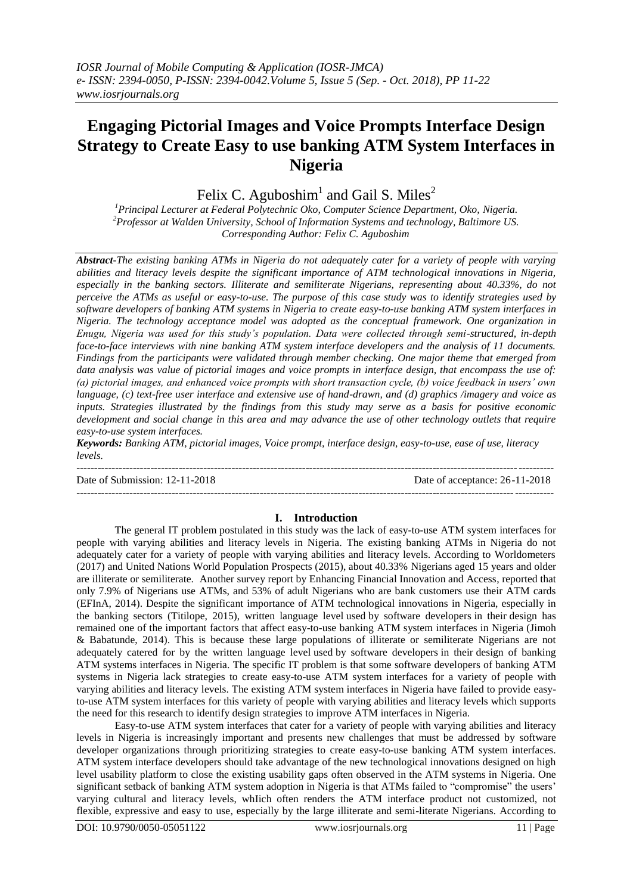# **Engaging Pictorial Images and Voice Prompts Interface Design Strategy to Create Easy to use banking ATM System Interfaces in Nigeria**

Felix C. Aguboshim $^1$  and Gail S. Miles<sup>2</sup>

*<sup>1</sup>Principal Lecturer at Federal Polytechnic Oko, Computer Science Department, Oko, Nigeria. <sup>2</sup>Professor at Walden University, School of Information Systems and technology, Baltimore US. Corresponding Author: Felix C. Aguboshim*

*Abstract-The existing banking ATMs in Nigeria do not adequately cater for a variety of people with varying abilities and literacy levels despite the significant importance of ATM technological innovations in Nigeria, especially in the banking sectors. Illiterate and semiliterate Nigerians, representing about 40.33%, do not perceive the ATMs as useful or easy-to-use. The purpose of this case study was to identify strategies used by software developers of banking ATM systems in Nigeria to create easy-to-use banking ATM system interfaces in Nigeria. The technology acceptance model was adopted as the conceptual framework. One organization in Enugu, Nigeria was used for this study's population. Data were collected through semi-structured, in-depth face-to-face interviews with nine banking ATM system interface developers and the analysis of 11 documents. Findings from the participants were validated through member checking. One major theme that emerged from data analysis was value of pictorial images and voice prompts in interface design, that encompass the use of: (a) pictorial images, and enhanced voice prompts with short transaction cycle, (b) voice feedback in users' own language, (c) text-free user interface and extensive use of hand-drawn, and (d) graphics /imagery and voice as inputs. Strategies illustrated by the findings from this study may serve as a basis for positive economic development and social change in this area and may advance the use of other technology outlets that require easy-to-use system interfaces.*

*Keywords: Banking ATM, pictorial images, Voice prompt, interface design, easy-to-use, ease of use, literacy levels.*

--------------------------------------------------------------------------------------------------------------------------------------- Date of Submission: 12-11-2018 Date of acceptance: 26-11-2018 ---------------------------------------------------------------------------------------------------------------------------------------

#### **I. Introduction**

The general IT problem postulated in this study was the lack of easy-to-use ATM system interfaces for people with varying abilities and literacy levels in Nigeria. The existing banking ATMs in Nigeria do not adequately cater for a variety of people with varying abilities and literacy levels. According to Worldometers (2017) and United Nations World Population Prospects (2015), about 40.33% Nigerians aged 15 years and older are illiterate or semiliterate. Another survey report by Enhancing Financial Innovation and Access, reported that only 7.9% of Nigerians use ATMs, and 53% of adult Nigerians who are bank customers use their ATM cards (EFInA, 2014). Despite the significant importance of ATM technological innovations in Nigeria, especially in the banking sectors (Titilope, 2015), written language level used by software developers in their design has remained one of the important factors that affect easy-to-use banking ATM system interfaces in Nigeria (Jimoh & Babatunde, 2014). This is because these large populations of illiterate or semiliterate Nigerians are not adequately catered for by the written language level used by software developers in their design of banking ATM systems interfaces in Nigeria. The specific IT problem is that some software developers of banking ATM systems in Nigeria lack strategies to create easy-to-use ATM system interfaces for a variety of people with varying abilities and literacy levels. The existing ATM system interfaces in Nigeria have failed to provide easyto-use ATM system interfaces for this variety of people with varying abilities and literacy levels which supports the need for this research to identify design strategies to improve ATM interfaces in Nigeria.

Easy-to-use ATM system interfaces that cater for a variety of people with varying abilities and literacy levels in Nigeria is increasingly important and presents new challenges that must be addressed by software developer organizations through prioritizing strategies to create easy-to-use banking ATM system interfaces. ATM system interface developers should take advantage of the new technological innovations designed on high level usability platform to close the existing usability gaps often observed in the ATM systems in Nigeria. One significant setback of banking ATM system adoption in Nigeria is that ATMs failed to "compromise" the users' varying cultural and literacy levels, whIich often renders the ATM interface product not customized, not flexible, expressive and easy to use, especially by the large illiterate and semi-literate Nigerians. According to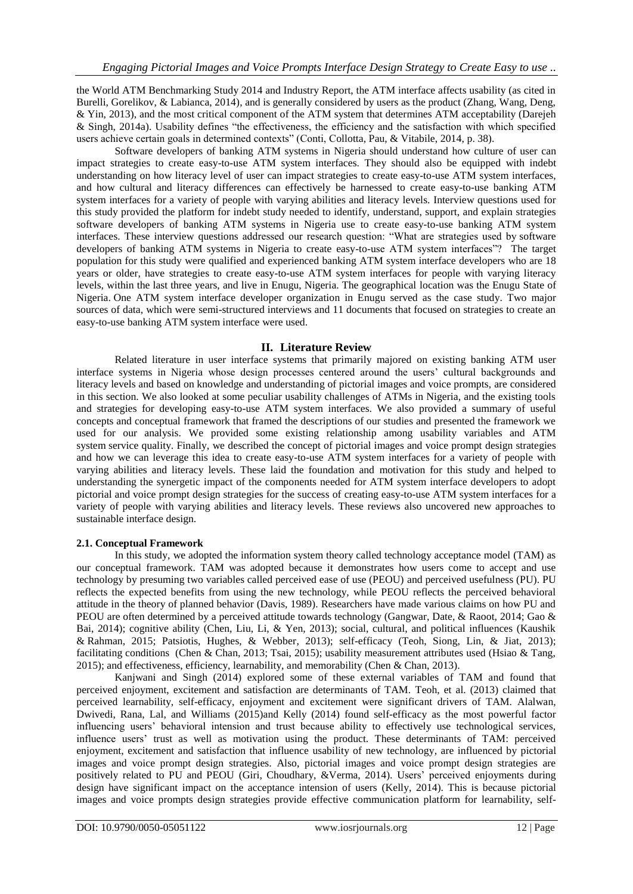the World ATM Benchmarking Study 2014 and Industry Report, the ATM interface affects usability (as cited in Burelli, Gorelikov, & Labianca, 2014), and is generally considered by users as the product (Zhang, Wang, Deng, & Yin, 2013), and the most critical component of the ATM system that determines ATM acceptability (Darejeh & Singh, 2014a). Usability defines "the effectiveness, the efficiency and the satisfaction with which specified users achieve certain goals in determined contexts" (Conti, Collotta, Pau, & Vitabile, 2014, p. 38).

Software developers of banking ATM systems in Nigeria should understand how culture of user can impact strategies to create easy-to-use ATM system interfaces. They should also be equipped with indebt understanding on how literacy level of user can impact strategies to create easy-to-use ATM system interfaces, and how cultural and literacy differences can effectively be harnessed to create easy-to-use banking ATM system interfaces for a variety of people with varying abilities and literacy levels. Interview questions used for this study provided the platform for indebt study needed to identify, understand, support, and explain strategies software developers of banking ATM systems in Nigeria use to create easy-to-use banking ATM system interfaces. These interview questions addressed our research question: "What are strategies used by software developers of banking ATM systems in Nigeria to create easy-to-use ATM system interfaces"? The target population for this study were qualified and experienced banking ATM system interface developers who are 18 years or older, have strategies to create easy-to-use ATM system interfaces for people with varying literacy levels, within the last three years, and live in Enugu, Nigeria. The geographical location was the Enugu State of Nigeria. One ATM system interface developer organization in Enugu served as the case study. Two major sources of data, which were semi-structured interviews and 11 documents that focused on strategies to create an easy-to-use banking ATM system interface were used.

# **II. Literature Review**

Related literature in user interface systems that primarily majored on existing banking ATM user interface systems in Nigeria whose design processes centered around the users' cultural backgrounds and literacy levels and based on knowledge and understanding of pictorial images and voice prompts, are considered in this section. We also looked at some peculiar usability challenges of ATMs in Nigeria, and the existing tools and strategies for developing easy-to-use ATM system interfaces. We also provided a summary of useful concepts and conceptual framework that framed the descriptions of our studies and presented the framework we used for our analysis. We provided some existing relationship among usability variables and ATM system service quality. Finally, we described the concept of pictorial images and voice prompt design strategies and how we can leverage this idea to create easy-to-use ATM system interfaces for a variety of people with varying abilities and literacy levels. These laid the foundation and motivation for this study and helped to understanding the synergetic impact of the components needed for ATM system interface developers to adopt pictorial and voice prompt design strategies for the success of creating easy-to-use ATM system interfaces for a variety of people with varying abilities and literacy levels. These reviews also uncovered new approaches to sustainable interface design.

#### **2.1. Conceptual Framework**

In this study, we adopted the information system theory called technology acceptance model (TAM) as our conceptual framework. TAM was adopted because it demonstrates how users come to accept and use technology by presuming two variables called perceived ease of use (PEOU) and perceived usefulness (PU). PU reflects the expected benefits from using the new technology, while PEOU reflects the perceived behavioral attitude in the theory of planned behavior (Davis, 1989). Researchers have made various claims on how PU and PEOU are often determined by a perceived attitude towards technology (Gangwar, Date, & Raoot, 2014; Gao & Bai, 2014); cognitive ability (Chen, Liu, Li, & Yen, 2013); social, cultural, and political influences (Kaushik & Rahman, 2015; Patsiotis, Hughes, & Webber, 2013); self-efficacy (Teoh, Siong, Lin, & Jiat, 2013); facilitating conditions (Chen & Chan, 2013; Tsai, 2015); usability measurement attributes used (Hsiao & Tang, 2015); and effectiveness, efficiency, learnability, and memorability (Chen & Chan, 2013).

Kanjwani and Singh (2014) explored some of these external variables of TAM and found that perceived enjoyment, excitement and satisfaction are determinants of TAM. Teoh, et al. (2013) claimed that perceived learnability, self-efficacy, enjoyment and excitement were significant drivers of TAM. Alalwan, Dwivedi, Rana, Lal, and Williams (2015)and Kelly (2014) found self-efficacy as the most powerful factor influencing users' behavioral intension and trust because ability to effectively use technological services, influence users' trust as well as motivation using the product. These determinants of TAM: perceived enjoyment, excitement and satisfaction that influence usability of new technology, are influenced by pictorial images and voice prompt design strategies. Also, pictorial images and voice prompt design strategies are positively related to PU and PEOU (Giri, Choudhary, &Verma, 2014). Users' perceived enjoyments during design have significant impact on the acceptance intension of users (Kelly, 2014). This is because pictorial images and voice prompts design strategies provide effective communication platform for learnability, self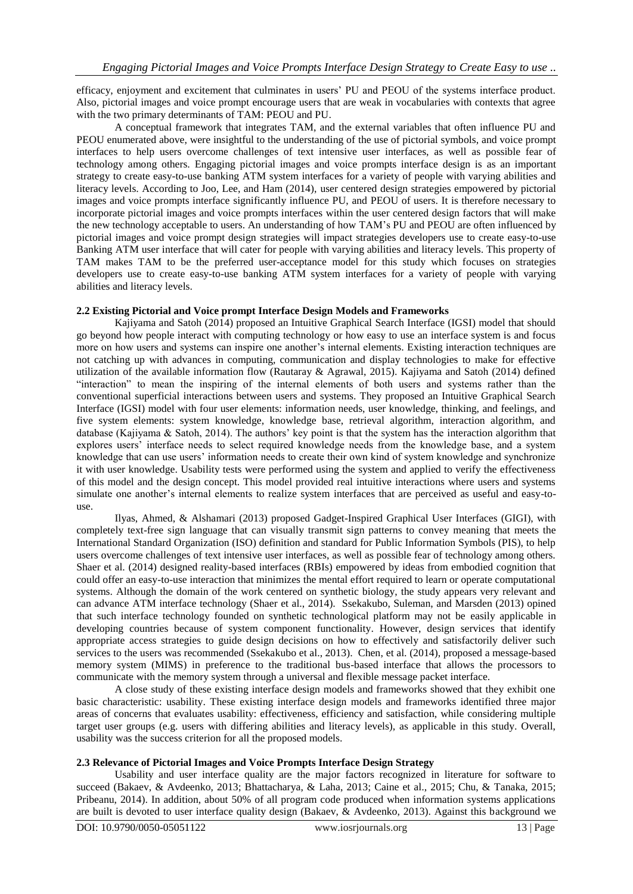efficacy, enjoyment and excitement that culminates in users' PU and PEOU of the systems interface product. Also, pictorial images and voice prompt encourage users that are weak in vocabularies with contexts that agree with the two primary determinants of TAM: PEOU and PU.

A conceptual framework that integrates TAM, and the external variables that often influence PU and PEOU enumerated above, were insightful to the understanding of the use of pictorial symbols, and voice prompt interfaces to help users overcome challenges of text intensive user interfaces, as well as possible fear of technology among others. Engaging pictorial images and voice prompts interface design is as an important strategy to create easy-to-use banking ATM system interfaces for a variety of people with varying abilities and literacy levels. According to Joo, Lee, and Ham (2014), user centered design strategies empowered by pictorial images and voice prompts interface significantly influence PU, and PEOU of users. It is therefore necessary to incorporate pictorial images and voice prompts interfaces within the user centered design factors that will make the new technology acceptable to users. An understanding of how TAM's PU and PEOU are often influenced by pictorial images and voice prompt design strategies will impact strategies developers use to create easy-to-use Banking ATM user interface that will cater for people with varying abilities and literacy levels. This property of TAM makes TAM to be the preferred user-acceptance model for this study which focuses on strategies developers use to create easy-to-use banking ATM system interfaces for a variety of people with varying abilities and literacy levels.

#### **2.2 Existing Pictorial and Voice prompt Interface Design Models and Frameworks**

Kajiyama and Satoh (2014) proposed an Intuitive Graphical Search Interface (IGSI) model that should go beyond how people interact with computing technology or how easy to use an interface system is and focus more on how users and systems can inspire one another's internal elements. Existing interaction techniques are not catching up with advances in computing, communication and display technologies to make for effective utilization of the available information flow (Rautaray & Agrawal, 2015). Kajiyama and Satoh (2014) defined "interaction" to mean the inspiring of the internal elements of both users and systems rather than the conventional superficial interactions between users and systems. They proposed an Intuitive Graphical Search Interface (IGSI) model with four user elements: information needs, user knowledge, thinking, and feelings, and five system elements: system knowledge, knowledge base, retrieval algorithm, interaction algorithm, and database (Kajiyama & Satoh, 2014). The authors' key point is that the system has the interaction algorithm that explores users' interface needs to select required knowledge needs from the knowledge base, and a system knowledge that can use users' information needs to create their own kind of system knowledge and synchronize it with user knowledge. Usability tests were performed using the system and applied to verify the effectiveness of this model and the design concept. This model provided real intuitive interactions where users and systems simulate one another's internal elements to realize system interfaces that are perceived as useful and easy-touse.

Ilyas, Ahmed, & Alshamari (2013) proposed Gadget-Inspired Graphical User Interfaces (GIGI), with completely text-free sign language that can visually transmit sign patterns to convey meaning that meets the International Standard Organization (ISO) definition and standard for Public Information Symbols (PIS), to help users overcome challenges of text intensive user interfaces, as well as possible fear of technology among others. Shaer et al. (2014) designed reality-based interfaces (RBIs) empowered by ideas from embodied cognition that could offer an easy-to-use interaction that minimizes the mental effort required to learn or operate computational systems. Although the domain of the work centered on synthetic biology, the study appears very relevant and can advance ATM interface technology (Shaer et al., 2014). Ssekakubo, Suleman, and Marsden (2013) opined that such interface technology founded on synthetic technological platform may not be easily applicable in developing countries because of system component functionality. However, design services that identify appropriate access strategies to guide design decisions on how to effectively and satisfactorily deliver such services to the users was recommended (Ssekakubo et al., 2013). Chen, et al. (2014), proposed a message-based memory system (MIMS) in preference to the traditional bus-based interface that allows the processors to communicate with the memory system through a universal and flexible message packet interface.

A close study of these existing interface design models and frameworks showed that they exhibit one basic characteristic: usability. These existing interface design models and frameworks identified three major areas of concerns that evaluates usability: effectiveness, efficiency and satisfaction, while considering multiple target user groups (e.g. users with differing abilities and literacy levels), as applicable in this study. Overall, usability was the success criterion for all the proposed models.

### **2.3 Relevance of Pictorial Images and Voice Prompts Interface Design Strategy**

Usability and user interface quality are the major factors recognized in literature for software to succeed (Bakaev, & Avdeenko, 2013; Bhattacharya, & Laha, 2013; Caine et al., 2015; Chu, & Tanaka, 2015; Pribeanu, 2014). In addition, about 50% of all program code produced when information systems applications are built is devoted to user interface quality design (Bakaev, & Avdeenko, 2013). Against this background we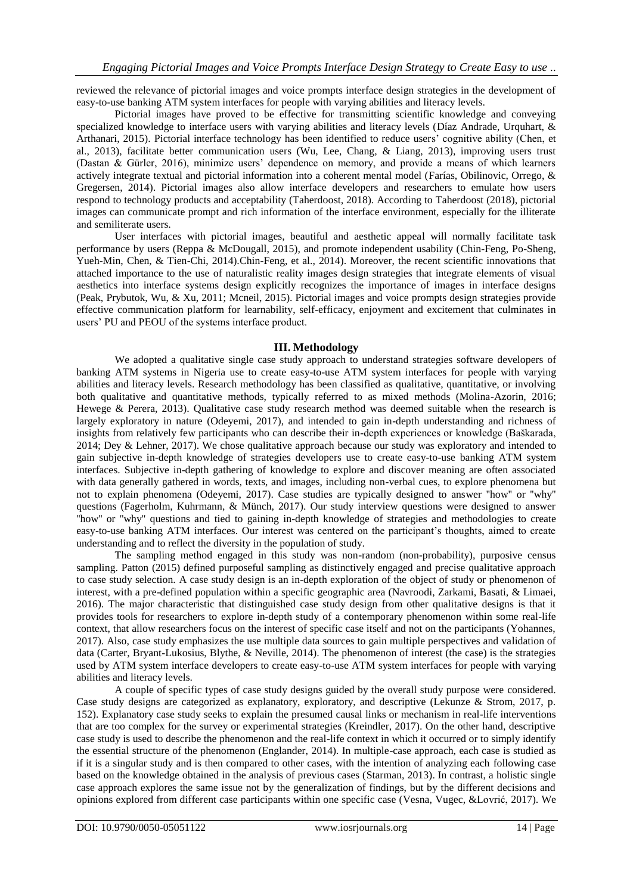reviewed the relevance of pictorial images and voice prompts interface design strategies in the development of easy-to-use banking ATM system interfaces for people with varying abilities and literacy levels.

Pictorial images have proved to be effective for transmitting scientific knowledge and conveying specialized knowledge to interface users with varying abilities and literacy levels (Díaz Andrade, Urquhart, & Arthanari, 2015). Pictorial interface technology has been identified to reduce users' cognitive ability (Chen, et al., 2013), facilitate better communication users (Wu, Lee, Chang, & Liang, 2013), improving users trust (Dastan & Gürler, 2016), minimize users' dependence on memory, and provide a means of which learners actively integrate textual and pictorial information into a coherent mental model (Farías, Obilinovic, Orrego, & Gregersen, 2014). Pictorial images also allow interface developers and researchers to emulate how users respond to technology products and acceptability (Taherdoost, 2018). According to Taherdoost (2018), pictorial images can communicate prompt and rich information of the interface environment, especially for the illiterate and semiliterate users.

User interfaces with pictorial images, beautiful and aesthetic appeal will normally facilitate task performance by users (Reppa & McDougall, 2015), and promote independent usability (Chin-Feng, Po-Sheng, Yueh-Min, Chen, & Tien-Chi, 2014).Chin-Feng, et al., 2014). Moreover, the recent scientific innovations that attached importance to the use of naturalistic reality images design strategies that integrate elements of visual aesthetics into interface systems design explicitly recognizes the importance of images in interface designs (Peak, Prybutok, Wu, & Xu, 2011; Mcneil, 2015). Pictorial images and voice prompts design strategies provide effective communication platform for learnability, self-efficacy, enjoyment and excitement that culminates in users' PU and PEOU of the systems interface product.

#### **III. Methodology**

We adopted a qualitative single case study approach to understand strategies software developers of banking ATM systems in Nigeria use to create easy-to-use ATM system interfaces for people with varying abilities and literacy levels. Research methodology has been classified as qualitative, quantitative, or involving both qualitative and quantitative methods, typically referred to as mixed methods (Molina-Azorin, 2016; Hewege & Perera, 2013). Qualitative case study research method was deemed suitable when the research is largely exploratory in nature (Odeyemi, 2017), and intended to gain in-depth understanding and richness of insights from relatively few participants who can describe their in-depth experiences or knowledge (Baškarada, 2014; Dey & Lehner, 2017). We chose qualitative approach because our study was exploratory and intended to gain subjective in-depth knowledge of strategies developers use to create easy-to-use banking ATM system interfaces. Subjective in-depth gathering of knowledge to explore and discover meaning are often associated with data generally gathered in words, texts, and images, including non-verbal cues, to explore phenomena but not to explain phenomena (Odeyemi, 2017). Case studies are typically designed to answer ''how'' or ''why'' questions (Fagerholm, Kuhrmann, & Münch, 2017). Our study interview questions were designed to answer ''how'' or ''why'' questions and tied to gaining in-depth knowledge of strategies and methodologies to create easy-to-use banking ATM interfaces. Our interest was centered on the participant's thoughts, aimed to create understanding and to reflect the diversity in the population of study.

The sampling method engaged in this study was non-random (non-probability), purposive census sampling. Patton (2015) defined purposeful sampling as distinctively engaged and precise qualitative approach to case study selection. A case study design is an in-depth exploration of the object of study or phenomenon of interest, with a pre-defined population within a specific geographic area (Navroodi, Zarkami, Basati, & Limaei, 2016). The major characteristic that distinguished case study design from other qualitative designs is that it provides tools for researchers to explore in-depth study of a contemporary phenomenon within some real-life context, that allow researchers focus on the interest of specific case itself and not on the participants (Yohannes, 2017). Also, case study emphasizes the use multiple data sources to gain multiple perspectives and validation of data (Carter, Bryant-Lukosius, Blythe, & Neville, 2014). The phenomenon of interest (the case) is the strategies used by ATM system interface developers to create easy-to-use ATM system interfaces for people with varying abilities and literacy levels.

A couple of specific types of case study designs guided by the overall study purpose were considered. Case study designs are categorized as explanatory, exploratory, and descriptive (Lekunze & Strom, 2017, p. 152). Explanatory case study seeks to explain the presumed causal links or mechanism in real-life interventions that are too complex for the survey or experimental strategies (Kreindler, 2017). On the other hand, descriptive case study is used to describe the phenomenon and the real-life context in which it occurred or to simply identify the essential structure of the phenomenon (Englander, 2014). In multiple-case approach, each case is studied as if it is a singular study and is then compared to other cases, with the intention of analyzing each following case based on the knowledge obtained in the analysis of previous cases (Starman, 2013). In contrast, a holistic single case approach explores the same issue not by the generalization of findings, but by the different decisions and opinions explored from different case participants within one specific case (Vesna, Vugec, &Lovrić, 2017). We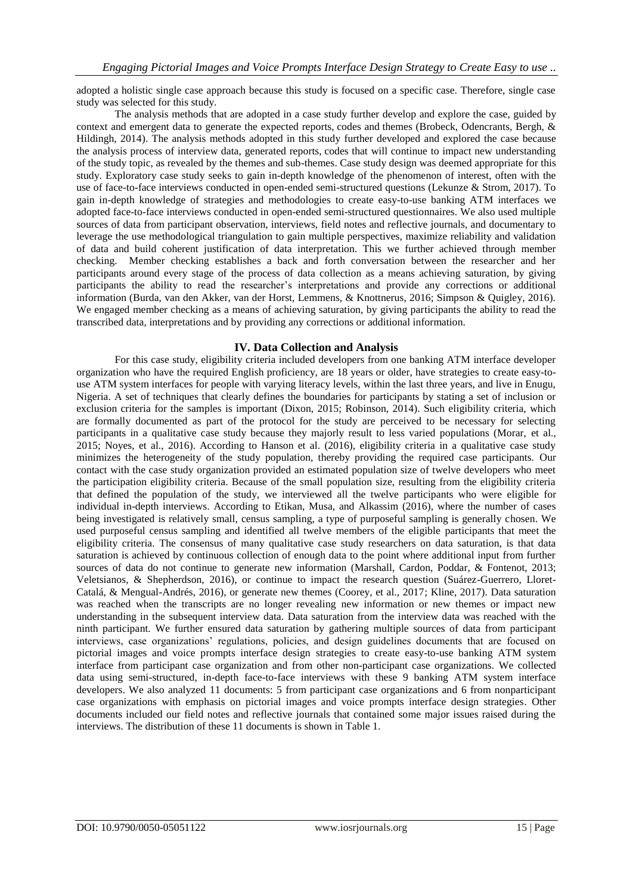adopted a holistic single case approach because this study is focused on a specific case. Therefore, single case study was selected for this study.

The analysis methods that are adopted in a case study further develop and explore the case, guided by context and emergent data to generate the expected reports, codes and themes (Brobeck, Odencrants, Bergh, & Hildingh, 2014). The analysis methods adopted in this study further developed and explored the case because the analysis process of interview data, generated reports, codes that will continue to impact new understanding of the study topic, as revealed by the themes and sub-themes. Case study design was deemed appropriate for this study. Exploratory case study seeks to gain in-depth knowledge of the phenomenon of interest, often with the use of face-to-face interviews conducted in open-ended semi-structured questions (Lekunze & Strom, 2017). To gain in-depth knowledge of strategies and methodologies to create easy-to-use banking ATM interfaces we adopted face-to-face interviews conducted in open-ended semi-structured questionnaires. We also used multiple sources of data from participant observation, interviews, field notes and reflective journals, and documentary to leverage the use methodological triangulation to gain multiple perspectives, maximize reliability and validation of data and build coherent justification of data interpretation. This we further achieved through member checking. Member checking establishes a back and forth conversation between the researcher and her participants around every stage of the process of data collection as a means achieving saturation, by giving participants the ability to read the researcher's interpretations and provide any corrections or additional information (Burda, van den Akker, van der Horst, Lemmens, & Knottnerus, 2016; Simpson & Quigley, 2016). We engaged member checking as a means of achieving saturation, by giving participants the ability to read the transcribed data, interpretations and by providing any corrections or additional information.

# **IV. Data Collection and Analysis**

For this case study, eligibility criteria included developers from one banking ATM interface developer organization who have the required English proficiency, are 18 years or older, have strategies to create easy-touse ATM system interfaces for people with varying literacy levels, within the last three years, and live in Enugu, Nigeria. A set of techniques that clearly defines the boundaries for participants by stating a set of inclusion or exclusion criteria for the samples is important (Dixon, 2015; Robinson, 2014). Such eligibility criteria, which are formally documented as part of the protocol for the study are perceived to be necessary for selecting participants in a qualitative case study because they majorly result to less varied populations (Morar, et al., 2015; Noyes, et al., 2016). According to Hanson et al. (2016), eligibility criteria in a qualitative case study minimizes the heterogeneity of the study population, thereby providing the required case participants. Our contact with the case study organization provided an estimated population size of twelve developers who meet the participation eligibility criteria. Because of the small population size, resulting from the eligibility criteria that defined the population of the study, we interviewed all the twelve participants who were eligible for individual in-depth interviews. According to Etikan, Musa, and Alkassim (2016), where the number of cases being investigated is relatively small, census sampling, a type of purposeful sampling is generally chosen. We used purposeful census sampling and identified all twelve members of the eligible participants that meet the eligibility criteria. The consensus of many qualitative case study researchers on data saturation, is that data saturation is achieved by continuous collection of enough data to the point where additional input from further sources of data do not continue to generate new information (Marshall, Cardon, Poddar, & Fontenot, 2013; Veletsianos, & Shepherdson, 2016), or continue to impact the research question (Suárez-Guerrero, Lloret-Catalá, & Mengual-Andrés, 2016), or generate new themes (Coorey, et al., 2017; Kline, 2017). Data saturation was reached when the transcripts are no longer revealing new information or new themes or impact new understanding in the subsequent interview data. Data saturation from the interview data was reached with the ninth participant. We further ensured data saturation by gathering multiple sources of data from participant interviews, case organizations' regulations, policies, and design guidelines documents that are focused on pictorial images and voice prompts interface design strategies to create easy-to-use banking ATM system interface from participant case organization and from other non-participant case organizations. We collected data using semi-structured, in-depth face-to-face interviews with these 9 banking ATM system interface developers. We also analyzed 11 documents: 5 from participant case organizations and 6 from nonparticipant case organizations with emphasis on pictorial images and voice prompts interface design strategies. Other documents included our field notes and reflective journals that contained some major issues raised during the interviews. The distribution of these 11 documents is shown in Table 1.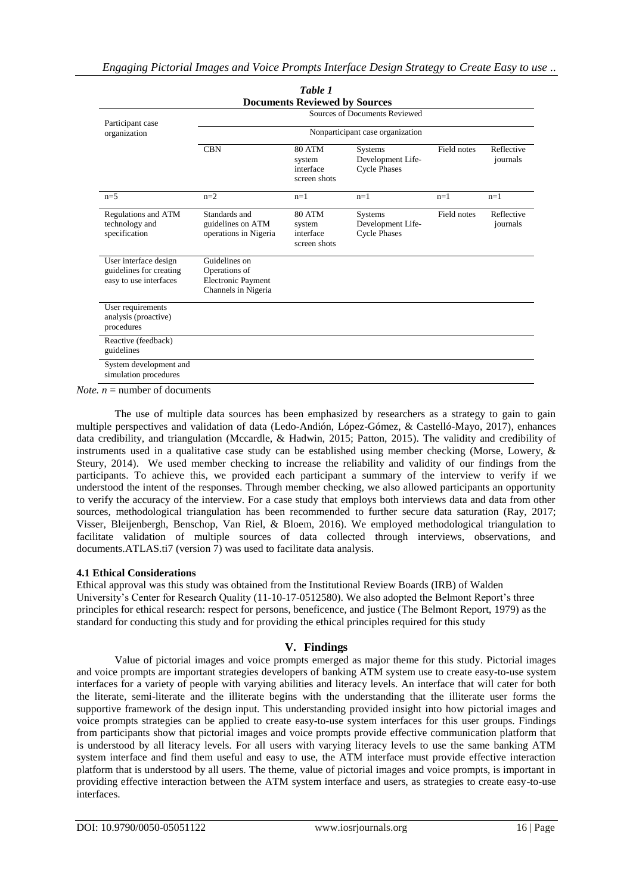| Table 1<br><b>Documents Reviewed by Sources</b>                            |                                                                                    |                                                      |                                                            |             |                        |  |  |  |
|----------------------------------------------------------------------------|------------------------------------------------------------------------------------|------------------------------------------------------|------------------------------------------------------------|-------------|------------------------|--|--|--|
| Participant case<br>organization                                           | Sources of Documents Reviewed<br>Nonparticipant case organization                  |                                                      |                                                            |             |                        |  |  |  |
|                                                                            |                                                                                    |                                                      |                                                            |             |                        |  |  |  |
| $n=5$                                                                      | $n=2$                                                                              | $n=1$                                                | $n=1$                                                      | $n=1$       | $n=1$                  |  |  |  |
| Regulations and ATM<br>technology and<br>specification                     | Standards and<br>guidelines on ATM<br>operations in Nigeria                        | <b>80 ATM</b><br>system<br>interface<br>screen shots | <b>Systems</b><br>Development Life-<br><b>Cycle Phases</b> | Field notes | Reflective<br>journals |  |  |  |
| User interface design<br>guidelines for creating<br>easy to use interfaces | Guidelines on<br>Operations of<br><b>Electronic Payment</b><br>Channels in Nigeria |                                                      |                                                            |             |                        |  |  |  |
| User requirements<br>analysis (proactive)<br>procedures                    |                                                                                    |                                                      |                                                            |             |                        |  |  |  |
| Reactive (feedback)<br>guidelines                                          |                                                                                    |                                                      |                                                            |             |                        |  |  |  |
| System development and<br>simulation procedures                            |                                                                                    |                                                      |                                                            |             |                        |  |  |  |

*Note.*  $n =$  number of documents

The use of multiple data sources has been emphasized by researchers as a strategy to gain to gain multiple perspectives and validation of data (Ledo-Andión, López-Gómez, & Castelló-Mayo, 2017), enhances data credibility, and triangulation (Mccardle, & Hadwin, 2015; Patton, 2015). The validity and credibility of instruments used in a qualitative case study can be established using member checking (Morse, Lowery, & Steury, 2014). We used member checking to increase the reliability and validity of our findings from the participants. To achieve this, we provided each participant a summary of the interview to verify if we understood the intent of the responses. Through member checking, we also allowed participants an opportunity to verify the accuracy of the interview. For a case study that employs both interviews data and data from other sources, methodological triangulation has been recommended to further secure data saturation (Ray, 2017; Visser, Bleijenbergh, Benschop, Van Riel, & Bloem, 2016). We employed methodological triangulation to facilitate validation of multiple sources of data collected through interviews, observations, and documents.ATLAS.ti7 (version 7) was used to facilitate data analysis.

#### **4.1 Ethical Considerations**

Ethical approval was this study was obtained from the Institutional Review Boards (IRB) of Walden University's Center for Research Quality (11-10-17-0512580). We also adopted the Belmont Report's three principles for ethical research: respect for persons, beneficence, and justice (The Belmont Report, 1979) as the standard for conducting this study and for providing the ethical principles required for this study

# **V. Findings**

Value of pictorial images and voice prompts emerged as major theme for this study. Pictorial images and voice prompts are important strategies developers of banking ATM system use to create easy-to-use system interfaces for a variety of people with varying abilities and literacy levels. An interface that will cater for both the literate, semi-literate and the illiterate begins with the understanding that the illiterate user forms the supportive framework of the design input. This understanding provided insight into how pictorial images and voice prompts strategies can be applied to create easy-to-use system interfaces for this user groups. Findings from participants show that pictorial images and voice prompts provide effective communication platform that is understood by all literacy levels. For all users with varying literacy levels to use the same banking ATM system interface and find them useful and easy to use, the ATM interface must provide effective interaction platform that is understood by all users. The theme, value of pictorial images and voice prompts, is important in providing effective interaction between the ATM system interface and users, as strategies to create easy-to-use interfaces.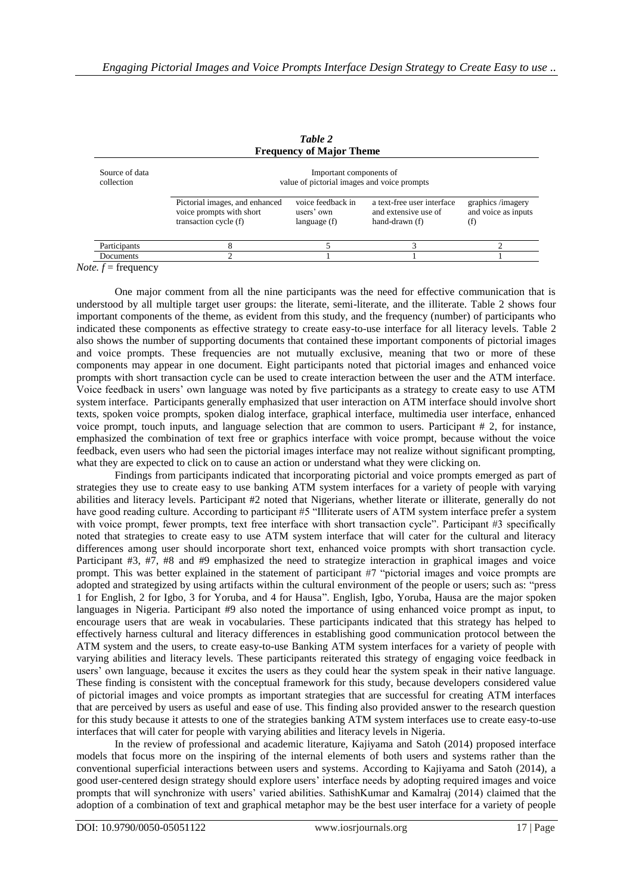| <b>F</b> requency of Major Theme |                                                                                     |                                                   |                                                                      |                                                |  |  |  |
|----------------------------------|-------------------------------------------------------------------------------------|---------------------------------------------------|----------------------------------------------------------------------|------------------------------------------------|--|--|--|
| Source of data<br>collection     | Important components of<br>value of pictorial images and voice prompts              |                                                   |                                                                      |                                                |  |  |  |
|                                  | Pictorial images, and enhanced<br>voice prompts with short<br>transaction cycle (f) | voice feedback in<br>users' own<br>language $(f)$ | a text-free user interface<br>and extensive use of<br>hand-drawn (f) | graphics/imagery<br>and voice as inputs<br>(f) |  |  |  |
| Participants                     |                                                                                     |                                                   |                                                                      |                                                |  |  |  |
| Documents                        |                                                                                     |                                                   |                                                                      |                                                |  |  |  |

*Table 2* **Frequency of Major Theme**

*Note. f* = frequency

One major comment from all the nine participants was the need for effective communication that is understood by all multiple target user groups: the literate, semi-literate, and the illiterate. Table 2 shows four important components of the theme, as evident from this study, and the frequency (number) of participants who indicated these components as effective strategy to create easy-to-use interface for all literacy levels. Table 2 also shows the number of supporting documents that contained these important components of pictorial images and voice prompts. These frequencies are not mutually exclusive, meaning that two or more of these components may appear in one document. Eight participants noted that pictorial images and enhanced voice prompts with short transaction cycle can be used to create interaction between the user and the ATM interface. Voice feedback in users' own language was noted by five participants as a strategy to create easy to use ATM system interface. Participants generally emphasized that user interaction on ATM interface should involve short texts, spoken voice prompts, spoken dialog interface, graphical interface, multimedia user interface, enhanced voice prompt, touch inputs, and language selection that are common to users. Participant # 2, for instance, emphasized the combination of text free or graphics interface with voice prompt, because without the voice feedback, even users who had seen the pictorial images interface may not realize without significant prompting, what they are expected to click on to cause an action or understand what they were clicking on.

Findings from participants indicated that incorporating pictorial and voice prompts emerged as part of strategies they use to create easy to use banking ATM system interfaces for a variety of people with varying abilities and literacy levels. Participant #2 noted that Nigerians, whether literate or illiterate, generally do not have good reading culture. According to participant #5 "Illiterate users of ATM system interface prefer a system with voice prompt, fewer prompts, text free interface with short transaction cycle". Participant #3 specifically noted that strategies to create easy to use ATM system interface that will cater for the cultural and literacy differences among user should incorporate short text, enhanced voice prompts with short transaction cycle. Participant #3, #7, #8 and #9 emphasized the need to strategize interaction in graphical images and voice prompt. This was better explained in the statement of participant #7 "pictorial images and voice prompts are adopted and strategized by using artifacts within the cultural environment of the people or users; such as: "press 1 for English, 2 for Igbo, 3 for Yoruba, and 4 for Hausa". English, Igbo, Yoruba, Hausa are the major spoken languages in Nigeria. Participant #9 also noted the importance of using enhanced voice prompt as input, to encourage users that are weak in vocabularies. These participants indicated that this strategy has helped to effectively harness cultural and literacy differences in establishing good communication protocol between the ATM system and the users, to create easy-to-use Banking ATM system interfaces for a variety of people with varying abilities and literacy levels. These participants reiterated this strategy of engaging voice feedback in users' own language, because it excites the users as they could hear the system speak in their native language. These finding is consistent with the conceptual framework for this study, because developers considered value of pictorial images and voice prompts as important strategies that are successful for creating ATM interfaces that are perceived by users as useful and ease of use. This finding also provided answer to the research question for this study because it attests to one of the strategies banking ATM system interfaces use to create easy-to-use interfaces that will cater for people with varying abilities and literacy levels in Nigeria.

In the review of professional and academic literature, Kajiyama and Satoh (2014) proposed interface models that focus more on the inspiring of the internal elements of both users and systems rather than the conventional superficial interactions between users and systems. According to Kajiyama and Satoh (2014), a good user-centered design strategy should explore users' interface needs by adopting required images and voice prompts that will synchronize with users' varied abilities. SathishKumar and Kamalraj (2014) claimed that the adoption of a combination of text and graphical metaphor may be the best user interface for a variety of people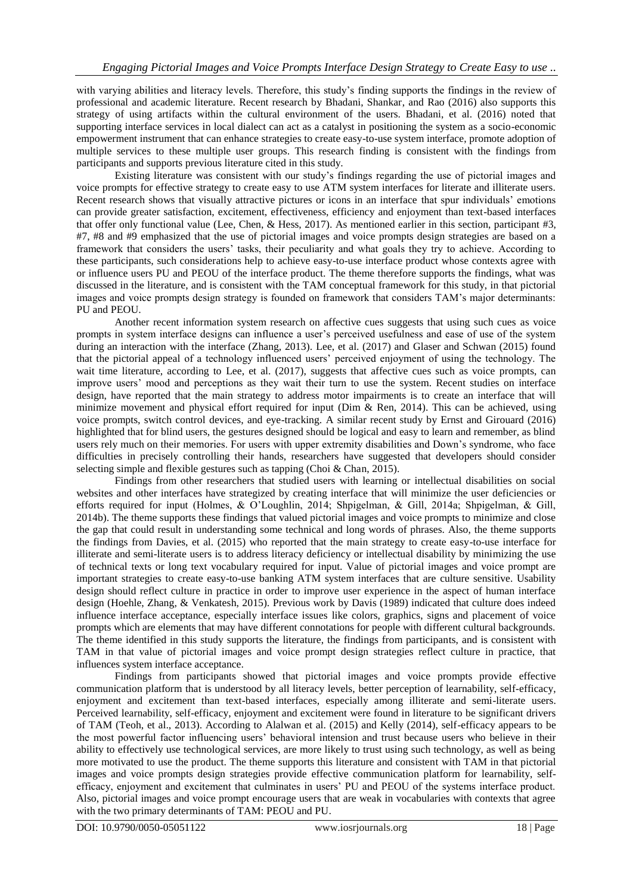with varying abilities and literacy levels. Therefore, this study's finding supports the findings in the review of professional and academic literature. Recent research by Bhadani, Shankar, and Rao (2016) also supports this strategy of using artifacts within the cultural environment of the users. Bhadani, et al. (2016) noted that supporting interface services in local dialect can act as a catalyst in positioning the system as a socio-economic empowerment instrument that can enhance strategies to create easy-to-use system interface, promote adoption of multiple services to these multiple user groups. This research finding is consistent with the findings from participants and supports previous literature cited in this study.

Existing literature was consistent with our study's findings regarding the use of pictorial images and voice prompts for effective strategy to create easy to use ATM system interfaces for literate and illiterate users. Recent research shows that visually attractive pictures or icons in an interface that spur individuals' emotions can provide greater satisfaction, excitement, effectiveness, efficiency and enjoyment than text-based interfaces that offer only functional value (Lee, Chen, & Hess, 2017). As mentioned earlier in this section, participant #3, #7, #8 and #9 emphasized that the use of pictorial images and voice prompts design strategies are based on a framework that considers the users' tasks, their peculiarity and what goals they try to achieve. According to these participants, such considerations help to achieve easy-to-use interface product whose contexts agree with or influence users PU and PEOU of the interface product. The theme therefore supports the findings, what was discussed in the literature, and is consistent with the TAM conceptual framework for this study, in that pictorial images and voice prompts design strategy is founded on framework that considers TAM's major determinants: PU and PEOU.

Another recent information system research on affective cues suggests that using such cues as voice prompts in system interface designs can influence a user's perceived usefulness and ease of use of the system during an interaction with the interface (Zhang, 2013). Lee, et al. (2017) and Glaser and Schwan (2015) found that the pictorial appeal of a technology influenced users' perceived enjoyment of using the technology. The wait time literature, according to Lee, et al. (2017), suggests that affective cues such as voice prompts, can improve users' mood and perceptions as they wait their turn to use the system. Recent studies on interface design, have reported that the main strategy to address motor impairments is to create an interface that will minimize movement and physical effort required for input (Dim & Ren, 2014). This can be achieved, using voice prompts, switch control devices, and eye-tracking. A similar recent study by Ernst and Girouard (2016) highlighted that for blind users, the gestures designed should be logical and easy to learn and remember, as blind users rely much on their memories. For users with upper extremity disabilities and Down's syndrome, who face difficulties in precisely controlling their hands, researchers have suggested that developers should consider selecting simple and flexible gestures such as tapping (Choi & Chan, 2015).

Findings from other researchers that studied users with learning or intellectual disabilities on social websites and other interfaces have strategized by creating interface that will minimize the user deficiencies or efforts required for input (Holmes, & O'Loughlin, 2014; Shpigelman, & Gill, 2014a; Shpigelman, & Gill, 2014b). The theme supports these findings that valued pictorial images and voice prompts to minimize and close the gap that could result in understanding some technical and long words of phrases. Also, the theme supports the findings from Davies, et al. (2015) who reported that the main strategy to create easy-to-use interface for illiterate and semi-literate users is to address literacy deficiency or intellectual disability by minimizing the use of technical texts or long text vocabulary required for input. Value of pictorial images and voice prompt are important strategies to create easy-to-use banking ATM system interfaces that are culture sensitive. Usability design should reflect culture in practice in order to improve user experience in the aspect of human interface design (Hoehle, Zhang, & Venkatesh, 2015). Previous work by Davis (1989) indicated that culture does indeed influence interface acceptance, especially interface issues like colors, graphics, signs and placement of voice prompts which are elements that may have different connotations for people with different cultural backgrounds. The theme identified in this study supports the literature, the findings from participants, and is consistent with TAM in that value of pictorial images and voice prompt design strategies reflect culture in practice, that influences system interface acceptance.

Findings from participants showed that pictorial images and voice prompts provide effective communication platform that is understood by all literacy levels, better perception of learnability, self-efficacy, enjoyment and excitement than text-based interfaces, especially among illiterate and semi-literate users. Perceived learnability, self-efficacy, enjoyment and excitement were found in literature to be significant drivers of TAM (Teoh, et al., 2013). According to Alalwan et al. (2015) and Kelly (2014), self-efficacy appears to be the most powerful factor influencing users' behavioral intension and trust because users who believe in their ability to effectively use technological services, are more likely to trust using such technology, as well as being more motivated to use the product. The theme supports this literature and consistent with TAM in that pictorial images and voice prompts design strategies provide effective communication platform for learnability, selfefficacy, enjoyment and excitement that culminates in users' PU and PEOU of the systems interface product. Also, pictorial images and voice prompt encourage users that are weak in vocabularies with contexts that agree with the two primary determinants of TAM: PEOU and PU.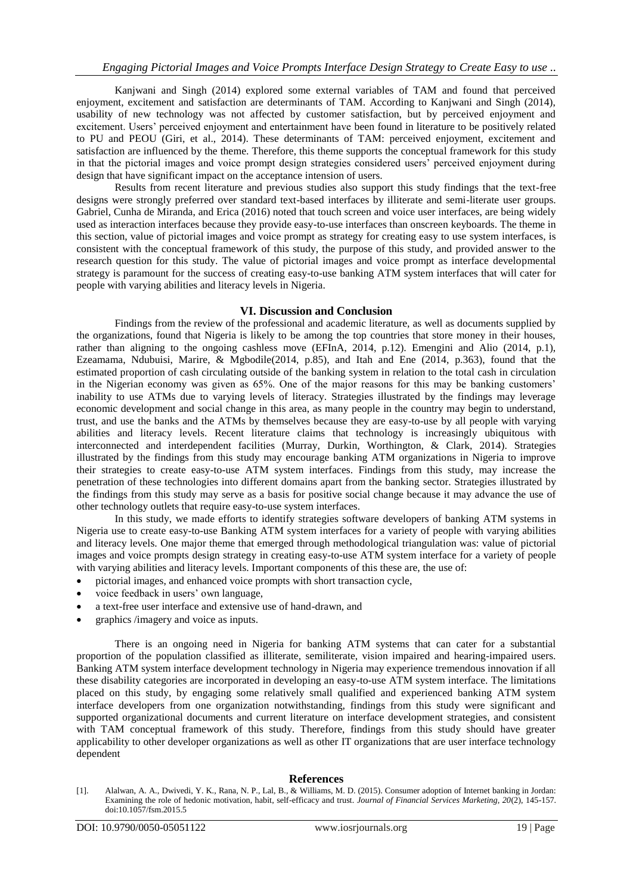Kanjwani and Singh (2014) explored some external variables of TAM and found that perceived enjoyment, excitement and satisfaction are determinants of TAM. According to Kanjwani and Singh (2014), usability of new technology was not affected by customer satisfaction, but by perceived enjoyment and excitement. Users' perceived enjoyment and entertainment have been found in literature to be positively related to PU and PEOU (Giri, et al., 2014). These determinants of TAM: perceived enjoyment, excitement and satisfaction are influenced by the theme. Therefore, this theme supports the conceptual framework for this study in that the pictorial images and voice prompt design strategies considered users' perceived enjoyment during design that have significant impact on the acceptance intension of users.

Results from recent literature and previous studies also support this study findings that the text-free designs were strongly preferred over standard text-based interfaces by illiterate and semi-literate user groups. Gabriel, Cunha de Miranda, and Erica (2016) noted that touch screen and voice user interfaces, are being widely used as interaction interfaces because they provide easy-to-use interfaces than onscreen keyboards. The theme in this section, value of pictorial images and voice prompt as strategy for creating easy to use system interfaces, is consistent with the conceptual framework of this study, the purpose of this study, and provided answer to the research question for this study. The value of pictorial images and voice prompt as interface developmental strategy is paramount for the success of creating easy-to-use banking ATM system interfaces that will cater for people with varying abilities and literacy levels in Nigeria.

#### **VI. Discussion and Conclusion**

Findings from the review of the professional and academic literature, as well as documents supplied by the organizations, found that Nigeria is likely to be among the top countries that store money in their houses, rather than aligning to the ongoing cashless move (EFInA, 2014, p.12). Emengini and Alio (2014, p.1), Ezeamama, Ndubuisi, Marire, & Mgbodile(2014, p.85), and Itah and Ene (2014, p.363), found that the estimated proportion of cash circulating outside of the banking system in relation to the total cash in circulation in the Nigerian economy was given as 65%. One of the major reasons for this may be banking customers' inability to use ATMs due to varying levels of literacy. Strategies illustrated by the findings may leverage economic development and social change in this area, as many people in the country may begin to understand, trust, and use the banks and the ATMs by themselves because they are easy-to-use by all people with varying abilities and literacy levels. Recent literature claims that technology is increasingly ubiquitous with interconnected and interdependent facilities (Murray, Durkin, Worthington, & Clark, 2014). Strategies illustrated by the findings from this study may encourage banking ATM organizations in Nigeria to improve their strategies to create easy-to-use ATM system interfaces. Findings from this study, may increase the penetration of these technologies into different domains apart from the banking sector. Strategies illustrated by the findings from this study may serve as a basis for positive social change because it may advance the use of other technology outlets that require easy-to-use system interfaces.

In this study, we made efforts to identify strategies software developers of banking ATM systems in Nigeria use to create easy-to-use Banking ATM system interfaces for a variety of people with varying abilities and literacy levels. One major theme that emerged through methodological triangulation was: value of pictorial images and voice prompts design strategy in creating easy-to-use ATM system interface for a variety of people with varying abilities and literacy levels. Important components of this these are, the use of:

- pictorial images, and enhanced voice prompts with short transaction cycle,
- voice feedback in users' own language,
- a text-free user interface and extensive use of hand-drawn, and
- graphics /imagery and voice as inputs.

There is an ongoing need in Nigeria for banking ATM systems that can cater for a substantial proportion of the population classified as illiterate, semiliterate, vision impaired and hearing-impaired users. Banking ATM system interface development technology in Nigeria may experience tremendous innovation if all these disability categories are incorporated in developing an easy-to-use ATM system interface. The limitations placed on this study, by engaging some relatively small qualified and experienced banking ATM system interface developers from one organization notwithstanding, findings from this study were significant and supported organizational documents and current literature on interface development strategies, and consistent with TAM conceptual framework of this study. Therefore, findings from this study should have greater applicability to other developer organizations as well as other IT organizations that are user interface technology dependent

#### **References**

<sup>[1].</sup> Alalwan, A. A., Dwivedi, Y. K., Rana, N. P., Lal, B., & Williams, M. D. (2015). Consumer adoption of Internet banking in Jordan: Examining the role of hedonic motivation, habit, self-efficacy and trust. *Journal of Financial Services Marketing, 20*(2), 145-157. doi:10.1057/fsm.2015.5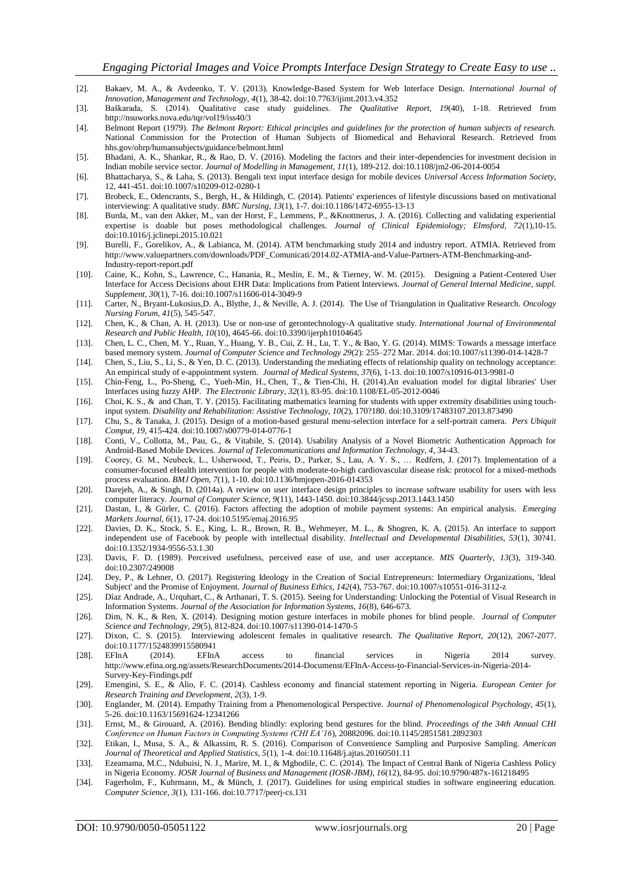- [2]. Bakaev, M. A., & Avdeenko, T. V. (2013). Knowledge-Based System for Web Interface Design. *International Journal of Innovation, Management and Technology, 4*(1), 38-42. doi:10.7763/ijimt.2013.v4.352
- [3]. Baškarada, S. (2014). Qualitative case study guidelines. *The Qualitative Report, 19*(40), 1-18. Retrieved from http://nsuworks.nova.edu/tqr/vol19/iss40/3
- [4]. Belmont Report (1979). *The Belmont Report: Ethical principles and guidelines for the protection of human subjects of research.*  National Commission for the Protection of Human Subjects of Biomedical and Behavioral Research. Retrieved from hhs.gov/ohrp/humansubjects/guidance/belmont.html
- [5]. Bhadani, A. K., Shankar, R., & Rao, D. V. (2016). Modeling the factors and their inter-dependencies for investment decision in Indian mobile service sector. *Journal of Modelling in Management, 11*(1), 189-212. doi:10.1108/jm2-06-2014-0054
- [6]. Bhattacharya, S., & Laha, S. (2013). Bengali text input interface design for mobile devices *Universal Access Information Society*, 12, 441-451. doi:10.1007/s10209-012-0280-1
- [7]. Brobeck, E., Odencrants, S., Bergh, H., & Hildingh, C. (2014). Patients' experiences of lifestyle discussions based on motivational interviewing: A qualitative study. *BMC Nursing, 13*(1), 1-7. doi:10.1186/1472-6955-13-13
- [8]. Burda, M., van den Akker, M., van der Horst, F., Lemmens, P., &Knottnerus, J. A. (2016). Collecting and validating experiential expertise is doable but poses methodological challenges. *Journal of Clinical Epidemiology; Elmsford, 72*(1),10-15. doi:10.1016/j.jclinepi.2015.10.021
- [9]. Burelli, F., Gorelikov, A., & Labianca, M. (2014). ATM benchmarking study 2014 and industry report. ATMIA. Retrieved from http://www.valuepartners.com/downloads/PDF\_Comunicati/2014.02-ATMIA-and-Value-Partners-ATM-Benchmarking-and-Industry-report-report.pdf
- [10]. Caine, K., Kohn, S., Lawrence, C., Hanania, R., Meslin, E. M., & Tierney, W. M. (2015). Designing a Patient-Centered User Interface for Access Decisions about EHR Data: Implications from Patient Interviews. *Journal of General Internal Medicine, suppl. Supplement, 30*(1), 7-16. doi:10.1007/s11606-014-3049-9
- [11]. Carter, N., Bryant-Lukosius,D. A., Blythe, J., & Neville, A. J. (2014). The Use of Triangulation in Qualitative Research. *Oncology Nursing Forum, 41*(5), 545-547.
- [12]. Chen, K., & Chan, A. H. (2013). Use or non-use of gerontechnology-A qualitative study. *International Journal of Environmental Research and Public Health, 10*(10), 4645-66. doi:10.3390/ijerph10104645
- [13]. Chen, L. C., Chen, M. Y., Ruan, Y., Huang, Y. B., Cui, Z. H., Lu, T. Y., & Bao, Y. G. (2014). MIMS: Towards a message interface based memory system. *Journal of Computer Science and Technology 29*(2): 255–272 Mar. 2014. doi:10.1007/s11390-014-1428-7
- [14]. Chen, S., Liu, S., Li, S., & Yen, D. C. (2013). Understanding the mediating effects of relationship quality on technology acceptance: An empirical study of e-appointment system. *Journal of Medical Systems, 37*(6), 1-13. doi:10.1007/s10916-013-9981-0
- [15]. Chin-Feng, L., Po-Sheng, C., Yueh-Min, H., Chen, T., & Tien-Chi, H. (2014).An evaluation model for digital libraries' User Interfaces using fuzzy AHP. *The Electronic Library, 32*(1), 83-95. doi:10.1108/EL-05-2012-0046
- [16]. Choi, K. S., & and Chan, T. Y. (2015). Facilitating mathematics learning for students with upper extremity disabilities using touchinput system. *Disability and Rehabilitation: Assistive Technology, 10*(2), 170?180. doi:10.3109/17483107.2013.873490
- [17]. Chu, S., & Tanaka, J. (2015). Design of a motion-based gestural menu-selection interface for a self-portrait camera. *Pers Ubiquit Comput, 19*, 415-424. doi:10.1007/s00779-014-0776-1
- [18]. Conti, V., Collotta, M., Pau, G., & Vitabile, S. (2014). Usability Analysis of a Novel Biometric Authentication Approach for Android-Based Mobile Devices. *Journal of Telecommunications and Information Technology, 4*, 34-43.
- [19]. Coorey, G. M., Neubeck, L., Usherwood, T., Peiris, D., Parker, S., Lau, A. Y. S., … Redfern, J. (2017). Implementation of a consumer-focused eHealth intervention for people with moderate-to-high cardiovascular disease risk: protocol for a mixed-methods process evaluation. *BMJ Open, 7*(1), 1-10. doi:10.1136/bmjopen-2016-014353
- [20]. Darejeh, A., & Singh, D. (2014a). A review on user interface design principles to increase software usability for users with less computer literacy. *Journal of Computer Science, 9*(11), 1443-1450. doi:10.3844/jcssp.2013.1443.1450
- [21]. Dastan, I., & Gürler, C. (2016). Factors affecting the adoption of mobile payment systems: An empirical analysis. *Emerging Markets Journal, 6*(1), 17-24. doi:10.5195/emaj.2016.95
- [22]. Davies, D. K., Stock, S. E., King, L. R., Brown, R. B., Wehmeyer, M. L., & Shogren, K. A. (2015). An interface to support independent use of Facebook by people with intellectual disability. *Intellectual and Developmental Disabilities, 53*(1), 30?41. doi:10.1352/1934-9556-53.1.30
- [23]. Davis, F. D. (1989). Perceived usefulness, perceived ease of use, and user acceptance. *MIS Quarterly, 13*(3), 319-340. [doi:10.2307/249008](http://dx.doi.org/10.2307/249008)
- [24]. Dey, P., & Lehner, O. (2017). Registering Ideology in the Creation of Social Entrepreneurs: Intermediary Organizations, 'Ideal Subject' and the Promise of Enjoyment. *Journal of Business Ethics, 142*(4), 753-767. doi:10.1007/s10551-016-3112-z
- [25]. Díaz Andrade, A., Urquhart, C., & Arthanari, T. S. (2015)[. Seeing for Understanding: Unlocking the Potential of Visual Research in](https://search-proquest-com.ezp.mywaldenalumni.com/docview/1711617914/C7E0294504584098PQ/12?accountid=134574)  [Information Systems.](https://search-proquest-com.ezp.mywaldenalumni.com/docview/1711617914/C7E0294504584098PQ/12?accountid=134574) *Journal of the Association for Information Systems, 16*(8), 646-673.
- [26]. Dim, N. K., & Ren, X. (2014). Designing motion gesture interfaces in mobile phones for blind people. *Journal of Computer Science and Technology, 29*(5), 812-824. doi:10.1007/s11390-014-1470-5
- [27]. Dixon, C. S. (2015). Interviewing adolescent females in qualitative research. *The Qualitative Report, 20*(12), 2067-2077. doi:10.1177/1524839915580941
- [28]. EFInA (2014). EFInA access to financial services in Nigeria 2014 survey. http://www.efina.org.ng/assets/ResearchDocuments/2014-Documenst/EFInA-Access-to-Financial-Services-in-Nigeria-2014- Survey-Key-Findings.pdf
- [29]. Emengini, S. E., & Alio, F. C. (2014). Cashless economy and financial statement reporting in Nigeria. *European Center for Research Training and Development, 2*(3), 1-9.
- [30]. Englander, M. (2014). Empathy Training from a Phenomenological Perspective. *Journal of Phenomenological Psychology, 45*(1), 5-26. doi:10.1163/15691624-12341266
- [31]. Ernst, M., & Girouard, A. (2016). Bending blindly: exploring bend gestures for the blind. *Proceedings of the 34th Annual CHI Conference on Human Factors in Computing Systems (CHI EA'16*), 20882096. doi:10.1145/2851581.2892303
- [32]. Etikan, I., Musa, S. A., & Alkassim, R. S. (2016). Comparison of Convenience Sampling and Purposive Sampling. *American Journal of Theoretical and Applied Statistics, 5*(1), 1-4. doi:10.11648/j.ajtas.20160501.11
- [33]. Ezeamama, M.C., Ndubuisi, N. J., Marire, M. I., & Mgbodile, C. C. (2014). The Impact of Central Bank of Nigeria Cashless Policy in Nigeria Economy. *IOSR Journal of Business and Management (IOSR-JBM), 16*(12), 84-95. doi:10.9790/487x-161218495
- [34]. Fagerholm, F., Kuhrmann, M., & Münch, J. (2017). Guidelines for using empirical studies in software engineering education. *Computer Science, 3*(1), 131-166. doi:10.7717/peerj-cs.131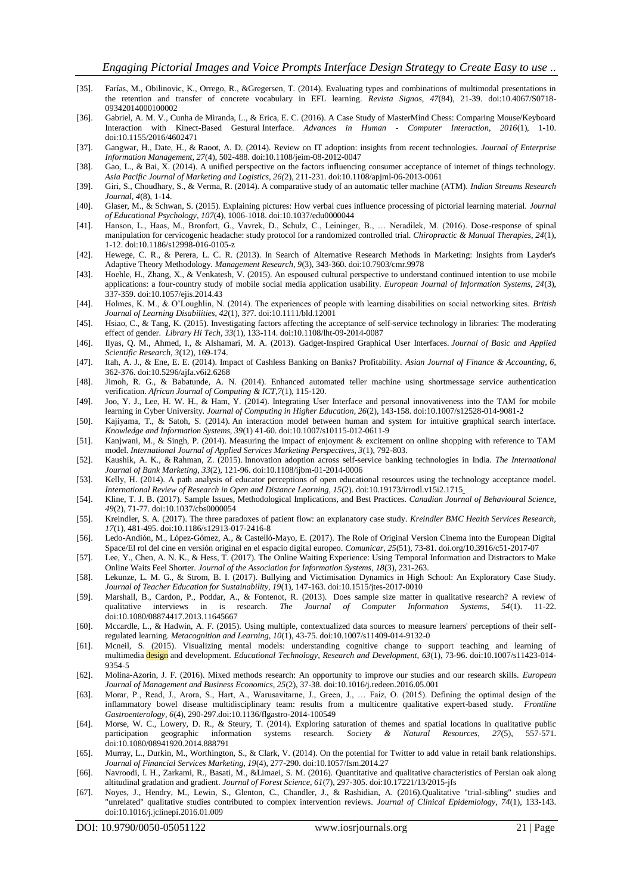- [35]. Farías, M., Obilinovic, K., Orrego, R., &Gregersen, T. (2014). Evaluating types and combinations of multimodal presentations in the retention and transfer of concrete vocabulary in EFL learning. *Revista Signos, 47*(84), 21-39. doi:10.4067/S0718- 09342014000100002
- [36]. Gabriel, A. M. V., Cunha de Miranda, L., & Erica, E. C. (2016). A Case Study of MasterMind Chess: Comparing Mouse/Keyboard Interaction with Kinect-Based Gestural Interface. *Advances in Human - Computer Interaction, 2016*(1), 1-10. doi:10.1155/2016/4602471
- [37]. Gangwar, H., Date, H., & Raoot, A. D. (2014). Review on IT adoption: insights from recent technologies. *Journal of Enterprise Information Management, 27*(4), 502-488. doi:10.1108/jeim-08-2012-0047
- [38]. Gao, L., & Bai, X. (2014). A unified perspective on the factors influencing consumer acceptance of internet of things technology. *Asia Pacific Journal of Marketing and Logistics, 26(*2), 211-231. doi:10.1108/apjml-06-2013-0061
- [39]. Giri, S., Choudhary, S., & Verma, R. (2014). A comparative study of an automatic teller machine (ATM). *Indian Streams Research Journal, 4*(8), 1-14.
- [40]. Glaser, M., & Schwan, S. (2015). Explaining pictures: How verbal cues influence processing of pictorial learning material. *Journal of Educational Psychology, 107*(4), 1006-1018. doi:10.1037/edu0000044
- [41]. Hanson, L., Haas, M., Bronfort, G., Vavrek, D., Schulz, C., Leininger, B., … Neradilek, M. (2016). Dose-response of spinal manipulation for cervicogenic headache: study protocol for a randomized controlled trial. *Chiropractic & Manual Therapies, 24*(1), 1-12. doi:10.1186/s12998-016-0105-z
- [42]. Hewege, C. R., & Perera, L. C. R. (2013). In Search of Alternative Research Methods in Marketing: Insights from Layder's Adaptive Theory Methodology. *Management Research, 9*(3), 343-360. doi:10.7903/cmr.9978
- [43]. Hoehle, H., Zhang, X., & Venkatesh, V. (2015). An espoused cultural perspective to understand continued intention to use mobile applications: a four-country study of mobile social media application usability. *European Journal of Information Systems, 24*(3), 337-359. doi:10.1057/ejis.2014.43
- [44]. Holmes, K. M., & O'Loughlin, N. (2014). The experiences of people with learning disabilities on social networking sites. *British Journal of Learning Disabilities, 42*(1), 3?7. doi:10.1111/bld.12001
- [45]. Hsiao, C., & Tang, K. (2015). Investigating factors affecting the acceptance of self-service technology in libraries: The moderating effect of gender. *Library Hi Tech, 33*(1), 133-114. doi:10.1108/lht-09-2014-0087
- [46]. Ilyas, Q. M., Ahmed, I., & Alshamari, M. A. (2013). Gadget-Inspired Graphical User Interfaces. *Journal of Basic and Applied Scientific Research, 3*(12), 169-174.
- [47]. Itah, A. J., & Ene, E. E. (2014). Impact of Cashless Banking on Banks? Profitability. *Asian Journal of Finance & Accounting, 6*, 362-376. doi:10.5296/ajfa.v6i2.6268
- [48]. Jimoh, R. G., & Babatunde, A. N. (2014). Enhanced automated teller machine using shortmessage service authentication verification. *African Journal of Computing & ICT,7*(1), 115-120.
- [49]. Joo, Y. J., Lee, H. W. H., & Ham, Y. (2014). Integrating User Interface and personal innovativeness into the TAM for mobile learning in Cyber University. *Journal of Computing in Higher Education, 26*(2), 143-158[. doi:10.1007/s12528-014-9081-2](http://dx.doi.org/10.1007/s12528-014-9081-2)
- [50]. Kajiyama, T., & Satoh, S. (2014). An interaction model between human and system for intuitive graphical search interface. *Knowledge and Information Systems, 39*(1) 41-60. doi:10.1007/s10115-012-0611-9
- [51]. Kanjwani, M., & Singh, P. (2014). Measuring the impact of enjoyment & excitement on online shopping with reference to TAM model. *International Journal of Applied Services Marketing Perspectives, 3*(1), 792-803.
- [52]. Kaushik, A. K., & Rahman, Z. (2015). Innovation adoption across self-service banking technologies in India. *The International Journal of Bank Marketing, 33*(2), 121-96. doi:10.1108/ijbm-01-2014-0006
- [53]. Kelly, H. (2014). A path analysis of educator perceptions of open educational resources using the technology acceptance model. *International Review of Research in Open and Distance Learning, 15*(2). doi:10.19173/irrodl.v15i2.1715
- [54]. Kline, T. J. B. (2017). Sample Issues, Methodological Implications, and Best Practices. *Canadian Journal of Behavioural Science, 49*(2), 71-77. doi:10.1037/cbs0000054
- [55]. Kreindler, S. A. (2017). The three paradoxes of patient flow: an explanatory case study. *Kreindler BMC Health Services Research, 17*(1), 481-495. doi:10.1186/s12913-017-2416-8
- [56]. Ledo-Andión, M., López-Gómez, A., & Castelló-Mayo, E. (2017). The Role of Original Version Cinema into the European Digital Space/El rol del cine en versión original en el espacio digital europeo. *Comunicar, 25*(51), 73-81. doi.org/10.3916/c51-2017-07
- [57]. Lee, Y., Chen, A. N. K., & Hess, T. (2017). The Online Waiting Experience: Using Temporal Information and Distractors to Make Online Waits Feel Shorter. *Journal of the Association for Information Systems, 18*(3), 231-263.
- [58]. Lekunze, L. M. G., & Strom, B. I. (2017). Bullying and Victimisation Dynamics in High School: An Exploratory Case Study. *Journal of Teacher Education for Sustainability, 19*(1), 147-163. doi:10.1515/jtes-2017-0010
- [59]. Marshall, B., Cardon, P., Poddar, A., & Fontenot, R. (2013). Does sample size matter in qualitative research? A review of qualitative interviews in is research. *The Journal of Computer Information Systems, 54*(1). 11-22. doi:10.1080/08874417.2013.11645667
- [60]. Mccardle, L., & Hadwin, A. F. (2015). Using multiple, contextualized data sources to measure learners' perceptions of their selfregulated learning. *Metacognition and Learning, 10*(1), 43-75. doi:10.1007/s11409-014-9132-0
- [61]. Mcneil, S. (2015). Visualizing mental models: understanding cognitive change to support teaching and learning of multimedia design and development. *Educational Technology, Research and Development, 63*(1), 73-96. doi:10.1007/s11423-014- 9354-5
- [62]. Molina-Azorin, J. F. (2016). Mixed methods research: An opportunity to improve our studies and our research skills. *European Journal of Management and Business Economics, 25*(2), 37-38. doi:10.1016/j.redeen.2016.05.001
- [63]. Morar, P., Read, J., Arora, S., Hart, A., Warusavitarne, J., Green, J., … Faiz, O. (2015). Defining the optimal design of the inflammatory bowel disease multidisciplinary team: results from a multicentre qualitative expert-based study. *Frontline Gastroenterology, 6*(4), 290-297.doi:10.1136/flgastro-2014-100549
- [64]. Morse, W. C., Lowery, D. R., & Steury, T. (2014). Exploring saturation of themes and spatial locations in qualitative public participation geographic information systems research. Society & Natural Resources, 27(5), participation geographic information systems research. *Society & Natural Resources, 27*(5), 557-571. doi:10.1080/08941920.2014.888791
- [65]. Murray, L., Durkin, M., Worthington, S., & Clark, V. (2014). On the potential for Twitter to add value in retail bank relationships. *Journal of Financial Services Marketing, 19*(4), 277-290. doi:10.1057/fsm.2014.27
- [66]. Navroodi, I. H., Zarkami, R., Basati, M., &Limaei, S. M. (2016). Quantitative and qualitative characteristics of Persian oak along altitudinal gradation and gradient. *Journal of Forest Science, 61*(7), 297-305. doi:10.17221/13/2015-jfs
- [67]. Noyes, J., Hendry, M., Lewin, S., Glenton, C., Chandler, J., & Rashidian, A. (2016).Qualitative "trial-sibling" studies and "unrelated" qualitative studies contributed to complex intervention reviews. *Journal of Clinical Epidemiology, 74*(1), 133-143. doi:10.1016/j.jclinepi.2016.01.009